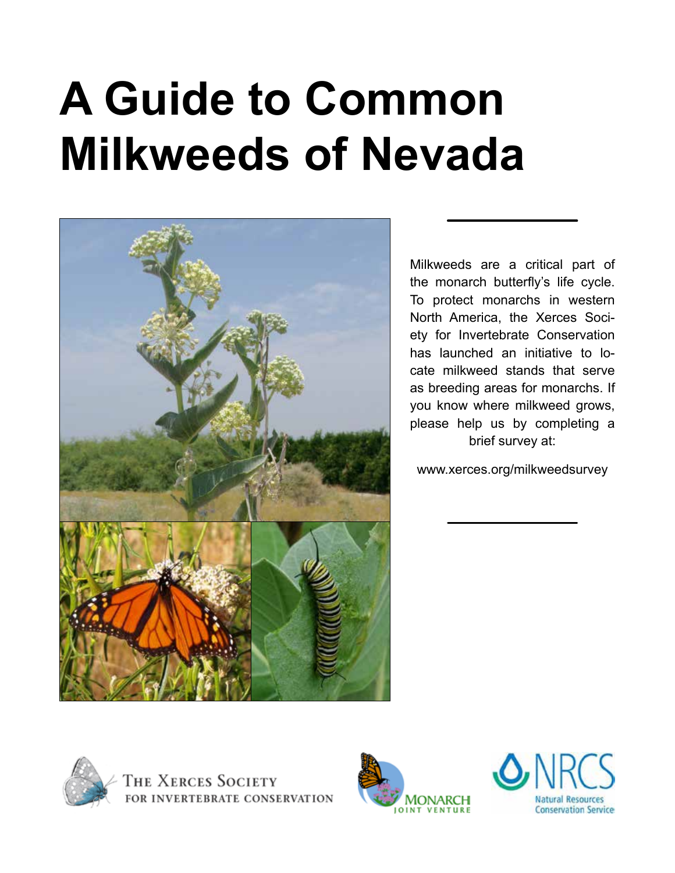# **A Guide to Common Milkweeds of Nevada**



Milkweeds are a critical part of the monarch butterfly's life cycle. To protect monarchs in western North America, the Xerces Society for Invertebrate Conservation has launched an initiative to locate milkweed stands that serve as breeding areas for monarchs. If you know where milkweed grows, please help us by completing a brief survey at:

www.xerces.org/milkweedsurvey





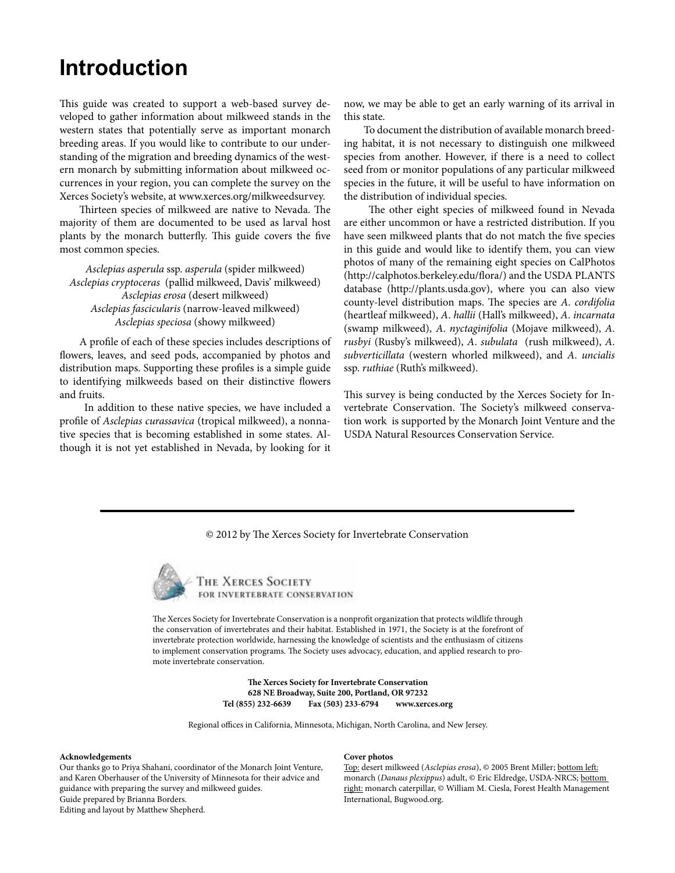### **Introduction**

This guide was created to support a web-based survey developed to gather information about milkweed stands in the western states that potentially serve as important monarch breeding areas. If you would like to contribute to our understanding of the migration and breeding dynamics of the western monarch by submitting information about milkweed occurrences in your region, you can complete the survey on the Xerces Society's website, at www.xerces.org/milkweedsurvey.

Thirteen species of milkweed are native to Nevada. The majority of them are documented to be used as larval host plants by the monarch butterfly. This guide covers the five most common species.

*Asclepias asperula* ssp. *asperula* (spider milkweed) *Asclepias cryptoceras* (pallid milkweed, Davis' milkweed) *Asclepias erosa* (desert milkweed) *Asclepias fascicularis* (narrow-leaved milkweed) *Asclepias speciosa* (showy milkweed)

A profile of each of these species includes descriptions of flowers, leaves, and seed pods, accompanied by photos and distribution maps. Supporting these profiles is a simple guide to identifying milkweeds based on their distinctive flowers and fruits.

In addition to these native species, we have included a profile of *Asclepias curassavica* (tropical milkweed), a nonnative species that is becoming established in some states. Although it is not yet established in Nevada, by looking for it now, we may be able to get an early warning of its arrival in this state.

To document the distribution of available monarch breeding habitat, it is not necessary to distinguish one milkweed species from another. However, if there is a need to collect seed from or monitor populations of any particular milkweed species in the future, it will be useful to have information on the distribution of individual species.

The other eight species of milkweed found in Nevada are either uncommon or have a restricted distribution. If you have seen milkweed plants that do not match the five species in this guide and would like to identify them, you can view photos of many of the remaining eight species on CalPhotos (http://calphotos.berkeley.edu/flora/) and the USDA PLANTS database (http://plants.usda.gov), where you can also view county-level distribution maps. The species are *A*. *cordifolia*  (heartleaf milkweed), *A*. *hallii* (Hall's milkweed), *A*. *incarnata*  (swamp milkweed), *A*. *nyctaginifolia* (Mojave milkweed), *A*. *rusbyi* (Rusby's milkweed), *A*. *subulata* (rush milkweed), *A*. *subverticillata* (western whorled milkweed), and *A*. *uncialis*  ssp. *ruthiae* (Ruth's milkweed).

This survey is being conducted by the Xerces Society for Invertebrate Conservation. The Society's milkweed conservation work is supported by the Monarch Joint Venture and the USDA Natural Resources Conservation Service.

© 2012 by The Xerces Society for Invertebrate Conservation



THE XERCES SOCIETY FOR INVERTEBRATE CONSERVATION

The Xerces Society for Invertebrate Conservation is a nonprofit organization that protects wildlife through the conservation of invertebrates and their habitat. Established in 1971, the Society is at the forefront of invertebrate protection worldwide, harnessing the knowledge of scientists and the enthusiasm of citizens to implement conservation programs. The Society uses advocacy, education, and applied research to promote invertebrate conservation.

> **The Xerces Society for Invertebrate Conservation 628 NE Broadway, Suite 200, Portland, OR 97232 Tel (855) 232-6639 Fax (503) 233-6794 www.xerces.org**

Regional offices in California, Minnesota, Michigan, North Carolina, and New Jersey.

#### **Acknowledgements**

Our thanks go to Priya Shahani, coordinator of the Monarch Joint Venture, and Karen Oberhauser of the University of Minnesota for their advice and guidance with preparing the survey and milkweed guides. Guide prepared by Brianna Borders. Editing and layout by Matthew Shepherd.

#### **Cover photos**

Top: desert milkweed (*Asclepias erosa*), © 2005 Brent Miller; bottom left: monarch (*Danaus plexippus*) adult, © Eric Eldredge, USDA-NRCS; bottom right: monarch caterpillar, © William M. Ciesla, Forest Health Management International, Bugwood.org.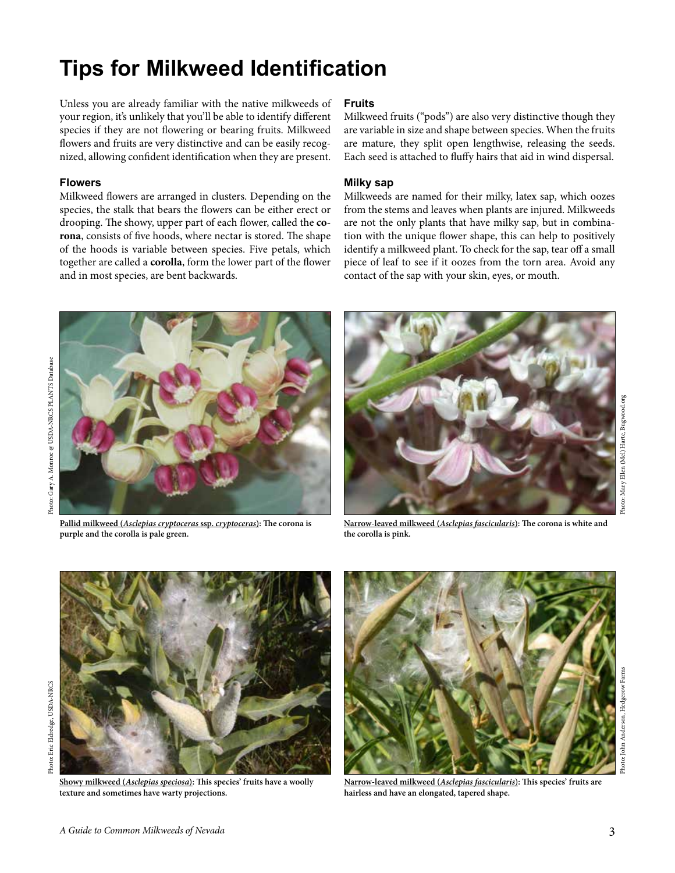# **Tips for Milkweed Identification**

Unless you are already familiar with the native milkweeds of your region, it's unlikely that you'll be able to identify different species if they are not flowering or bearing fruits. Milkweed flowers and fruits are very distinctive and can be easily recognized, allowing confident identification when they are present.

#### **Flowers**

Milkweed flowers are arranged in clusters. Depending on the species, the stalk that bears the flowers can be either erect or drooping. The showy, upper part of each flower, called the **corona**, consists of five hoods, where nectar is stored. The shape of the hoods is variable between species. Five petals, which together are called a **corolla**, form the lower part of the flower and in most species, are bent backwards.

#### **Fruits**

Milkweed fruits ("pods") are also very distinctive though they are variable in size and shape between species. When the fruits are mature, they split open lengthwise, releasing the seeds. Each seed is attached to fluffy hairs that aid in wind dispersal.

#### **Milky sap**

Milkweeds are named for their milky, latex sap, which oozes from the stems and leaves when plants are injured. Milkweeds are not the only plants that have milky sap, but in combination with the unique flower shape, this can help to positively identify a milkweed plant. To check for the sap, tear off a small piece of leaf to see if it oozes from the torn area. Avoid any contact of the sap with your skin, eyes, or mouth.



**Pallid milkweed (***Asclepias cryptoceras* **ssp.** *cryptoceras***): The corona is purple and the corolla is pale green.**



**Narrow-leaved milkweed (***Asclepias fascicularis***): The corona is white and the corolla is pink.**



**Showy milkweed (***Asclepias speciosa***): This species' fruits have a woolly texture and sometimes have warty projections.**



**Narrow-leaved milkweed (***Asclepias fascicularis***): This species' fruits are hairless and have an elongated, tapered shape.**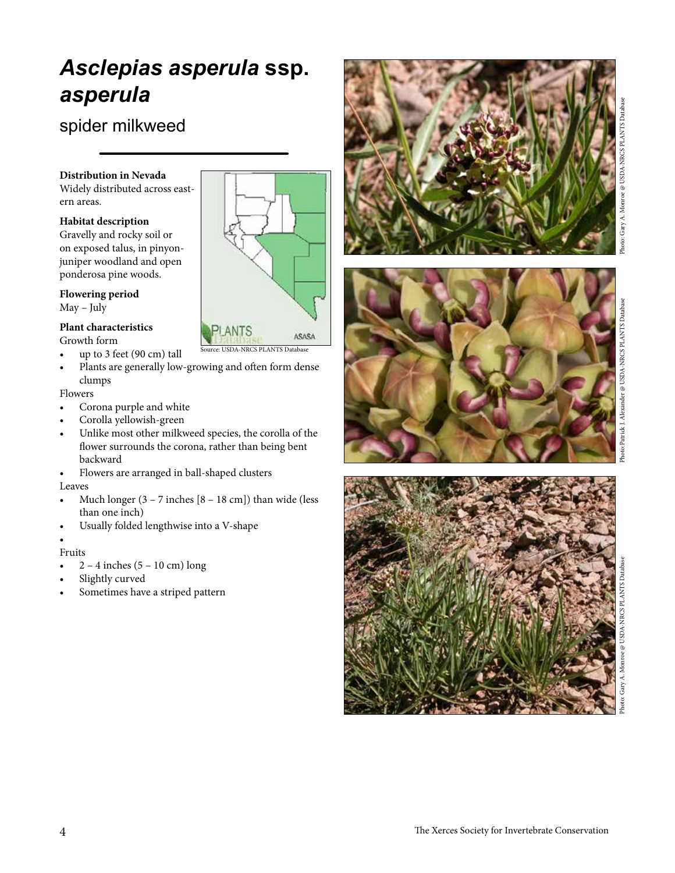# *Asclepias asperula* **ssp.** *asperula*

### spider milkweed

#### **Distribution in Nevada**

Widely distributed across eastern areas.

#### **Habitat description**

Gravelly and rocky soil or on exposed talus, in pinyonjuniper woodland and open ponderosa pine woods.

#### **Flowering period**

May – July

#### **Plant characteristics** Growth form

- up to 3 feet (90 cm) tall
- Plants are generally low-growing and often form dense clumps

ource: USDA-NRCS PLANTS Database

ASASA

#### Flowers

- Corona purple and white
- Corolla yellowish-green
- Unlike most other milkweed species, the corolla of the flower surrounds the corona, rather than being bent backward
- Flowers are arranged in ball-shaped clusters

#### Leaves

- Much longer  $(3 7$  inches  $[8 18$  cm]) than wide (less than one inch)
- Usually folded lengthwise into a V-shape

#### •

- Fruits
- $2 4$  inches  $(5 10$  cm) long
- Slightly curved
- Sometimes have a striped pattern



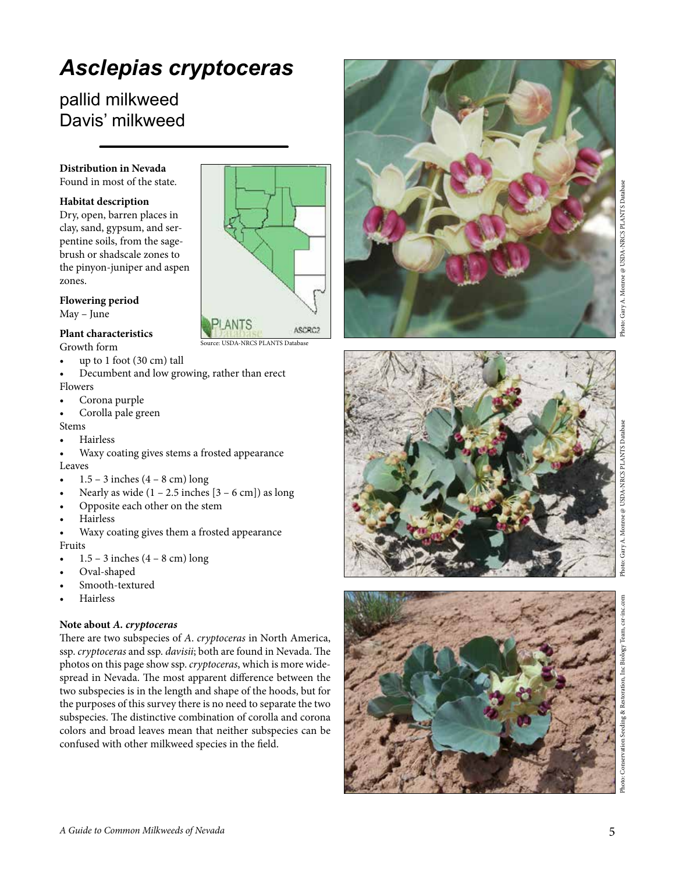# *Asclepias cryptoceras*

### pallid milkweed Davis' milkweed

#### **Distribution in Nevada**

Found in most of the state.

#### **Habitat description**

Dry, open, barren places in clay, sand, gypsum, and ser pentine soils, from the sage brush or shadscale zones to the pinyon-juniper and aspen zones.

#### **Flowering period**

May – June

#### **Plant characteristics**

Growth form

- up to  $1$  foot  $(30 \text{ cm})$  tall
- Decumbent and low growing, rather than erect Flowers

USDA-NRCS PLANTS Database

ASCRC:

- Corona purple
- Corolla pale green

Stems

- **Hairless**
- Waxy coating gives stems a frosted appearance Leaves
- $1.5 3$  inches  $(4 8$  cm) long
- Nearly as wide  $(1 2.5$  inches  $[3 6$  cm]) as long
- Opposite each other on the stem
- **Hairless**
- Waxy coating gives them a frosted appearance

#### Fruits

- $1.5 3$  inches  $(4 8$  cm) long
- Oval-shaped Smooth-textured
- 
- **Hairless**

#### **Note about** *A. cryptoceras*

There are two subspecies of *A* . *cryptoceras* in North America, ssp. *cryptoceras* and ssp. *davisii*; both are found in Nevada. The photos on this page show ssp. *cryptoceras*, which is more wide spread in Nevada. The most apparent difference between the two subspecies is in the length and shape of the hoods, but for the purposes of this survey there is no need to separate the two subspecies. The distinctive combination of corolla and corona colors and broad leaves mean that neither subspecies can be confused with other milkweed species in the field.







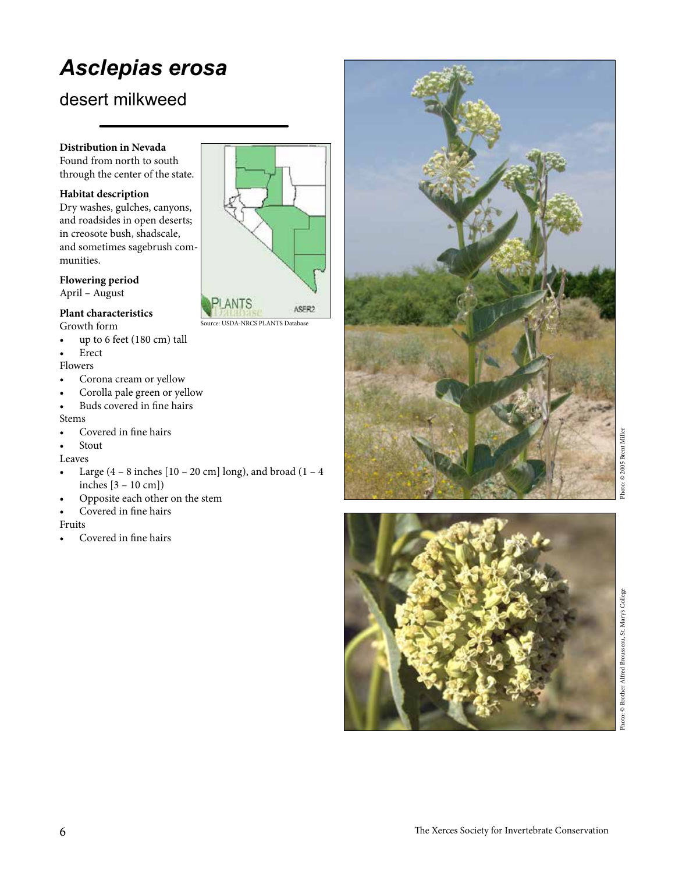# *Asclepias erosa*

### desert milkweed

#### **Distribution in Nevada**

Found from north to south through the center of the state.

#### **Habitat description**

Dry washes, gulches, canyons, and roadsides in open deserts; in creosote bush, shadscale, and sometimes sagebrush communities.

#### **Flowering period**

April – August

#### **Plant characteristics** Growth form

• up to 6 feet (180 cm) tall

**Erect** 

#### Flowers

- Corona cream or yellow
- Corolla pale green or yellow
- Buds covered in fine hairs Stems
- Covered in fine hairs
- **Stout**

Leaves

- Large  $(4 8$  inches  $[10 20$  cm] long), and broad  $(1 4)$ inches [3 – 10 cm])
- Opposite each other on the stem
- Covered in fine hairs

#### Fruits

• Covered in fine hairs



Source: USDA-NRCS PLANTS Database



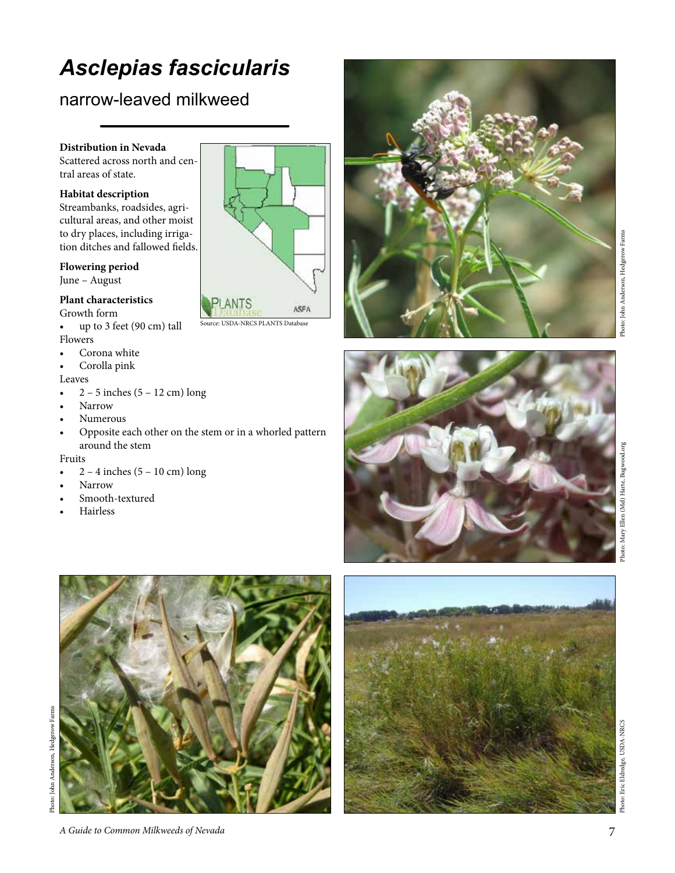# *Asclepias fascicularis*

### narrow-leaved milkweed

#### **Distribution in Nevada**

Scattered across north and cen tral areas of state.

#### **Habitat description**

Streambanks, roadsides, agri cultural areas, and other moist to dry places, including irriga tion ditches and fallowed fields.

#### **Flowering period**

June – August

#### **Plant characteristics**

Growth form • up to 3 feet (90 cm) tall

Flowers

- Corona white
- Corolla pink

#### Leaves

- 2 5 inches (5 12 cm) long
- Narrow
- Numerous
- Opposite each other on the stem or in a whorled pattern around the stem

#### Fruits

- 2 4 inches (5 10 cm) long
- 
- Narrow<br>Smooth-textured
- **Hairless**



Source: USDA-NRCS PLANTS Database







Photo: John Anderson, Hedgerow Farms Photo: John Anderson, Hedgerow Farms



Eric Eldredge, USDA-NRCS Photo: Eric Eldredge, USDA-NRCS Photo: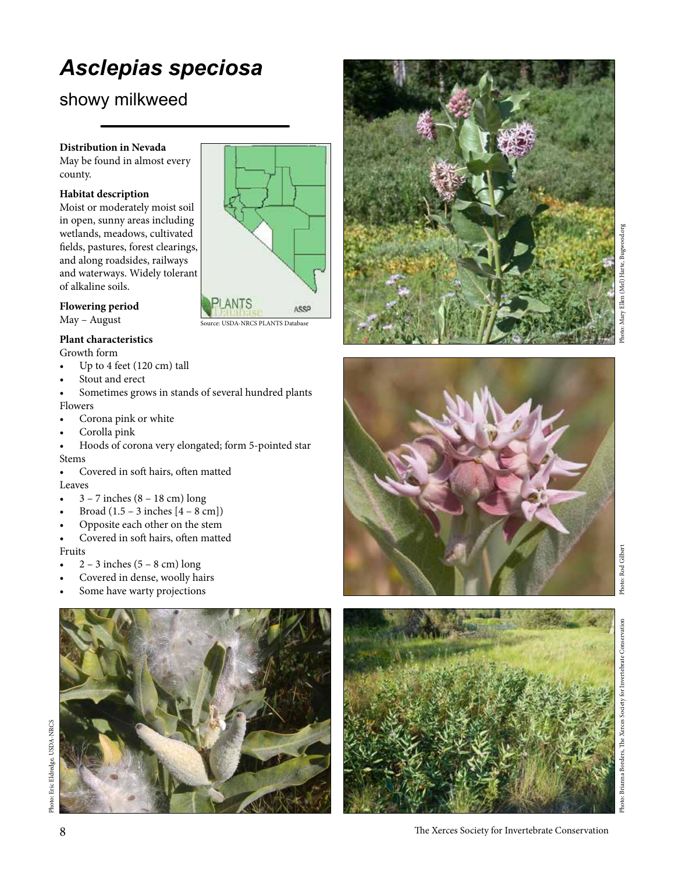# *Asclepias speciosa*

### showy milkweed

#### **Distribution in Nevada**

May be found in almost every county.

#### **Habitat description**

Moist or moderately moist soil in open, sunny areas including wetlands, meadows, cultivated fields, pastures, forest clearings, and along roadsides, railways and waterways. Widely tolerant of alkaline soils.

#### **Flowering period** May – August

#### **Plant characteristics**

Growth form

- Up to 4 feet (120 cm) tall
- Stout and erect
- Sometimes grows in stands of several hundred plants Flowers

Source: USDA-NRCS PLANTS Database

ASSP

- Corona pink or white
- Corolla pink
- Hoods of corona very elongated; form 5-pointed star Stems

• Covered in soft hairs, often matted Leaves

- 3 7 inches (8 18 cm) long
- Broad  $(1.5 3$  inches  $[4 8$  cm])
- Opposite each other on the stem
- Covered in soft hairs, often matted Fruits
- $\bullet$  2 3 inches (5 8 cm) long
- Covered in dense, woolly hairs
- Some have warty projections